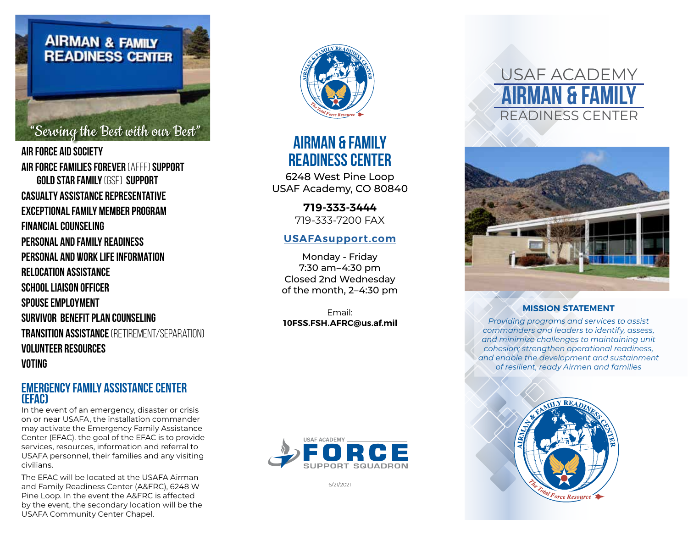

"Serving the Best with our Best"

**Air force Aid Society AIR FORCE FAMILIES FOREVER** (AFFF) **Support GOLD STAR FAMILY** (GSF) **Support Casualty Assistance Representative Exceptional Family Member Program Financial Counseling Personal and Family Readiness Personal and Work Life Information Relocation Assistance School Liaison Officer SPOUSE EMPLOYMENT Survivor Benefit Plan Counseling Transition Assistance** (Retirement/Separation) **Volunteer Resources Voting**

#### **Emergency Family Assistance Center (EFAC)**

In the event of an emergency, disaster or crisis on or near USAFA, the installation commander may activate the Emergency Family Assistance Center (EFAC). the goal of the EFAC is to provide services, resources, information and referral to USAFA personnel, their families and any visiting civilians.

The EFAC will be located at the USAFA Airman and Family Readiness Center (A&FRC), 6248 W Pine Loop. In the event the A&FRC is affected by the event, the secondary location will be the USAFA Community Center Chapel.



## **AIRMAN & FAMILY READINESS CENTER**

6248 West Pine Loop USAF Academy, CO 80840

> **719-333-3444** 719-333-7200 FAX

#### **[USAFAsupport.com](http://www.usafasupport.com/afrc.html)**

Monday - Friday 7:30 am–4:30 pm Closed 2nd Wednesday of the month, 2–4:30 pm

Email: **10FSS.FSH.AFRC@us.af.mil**



6/21/2021

# USAF ACADEMY **Airman & Family** READINESS CENTER



#### **MISSION STATEMENT**

*Providing programs and services to assist commanders and leaders to identify, assess, and minimize challenges to maintaining unit cohesion; strengthen operational readiness, and enable the development and sustainment of resilient, ready Airmen and families*